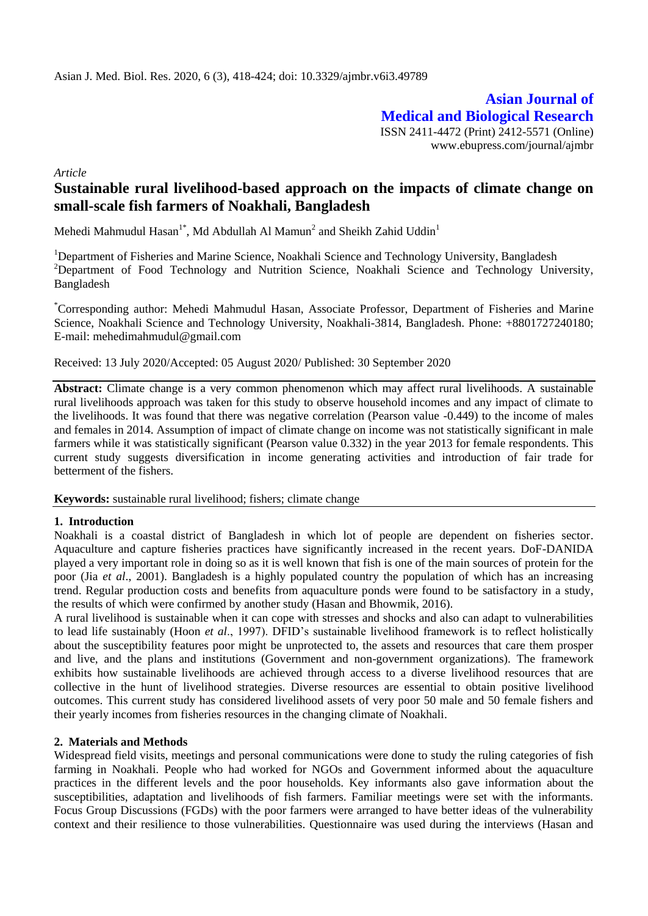**Asian Journal of Medical and Biological Research** ISSN 2411-4472 (Print) 2412-5571 (Online) www.ebupress.com/journal/ajmbr

*Article*

# **Sustainable rural livelihood-based approach on the impacts of climate change on small-scale fish farmers of Noakhali, Bangladesh**

Mehedi Mahmudul Hasan<sup>1\*</sup>, Md Abdullah Al Mamun<sup>2</sup> and Sheikh Zahid Uddin<sup>1</sup>

<sup>1</sup>Department of Fisheries and Marine Science, Noakhali Science and Technology University, Bangladesh <sup>2</sup>Department of Food Technology and Nutrition Science, Noakhali Science and Technology University, Bangladesh

\*Corresponding author: Mehedi Mahmudul Hasan, Associate Professor, Department of Fisheries and Marine Science, Noakhali Science and Technology University, Noakhali-3814, Bangladesh. Phone: +8801727240180; E-mail: [mehedimahmudul@gmail.com](mailto:mehedimahmudul@gmail.com)

#### Received: 13 July 2020/Accepted: 05 August 2020/ Published: 30 September 2020

**Abstract:** Climate change is a very common phenomenon which may affect rural livelihoods. A sustainable rural livelihoods approach was taken for this study to observe household incomes and any impact of climate to the livelihoods. It was found that there was negative correlation (Pearson value -0.449) to the income of males and females in 2014. Assumption of impact of climate change on income was not statistically significant in male farmers while it was statistically significant (Pearson value 0.332) in the year 2013 for female respondents. This current study suggests diversification in income generating activities and introduction of fair trade for betterment of the fishers.

**Keywords:** sustainable rural livelihood; fishers; climate change

# **1. Introduction**

Noakhali is a coastal district of Bangladesh in which lot of people are dependent on fisheries sector. Aquaculture and capture fisheries practices have significantly increased in the recent years. DoF-DANIDA played a very important role in doing so as it is well known that fish is one of the main sources of protein for the poor (Jia *et al*., 2001). Bangladesh is a highly populated country the population of which has an increasing trend. Regular production costs and benefits from aquaculture ponds were found to be satisfactory in a study, the results of which were confirmed by another study (Hasan and Bhowmik, 2016).

A rural livelihood is sustainable when it can cope with stresses and shocks and also can adapt to vulnerabilities to lead life sustainably (Hoon *et al*., 1997). DFID's sustainable livelihood framework is to reflect holistically about the susceptibility features poor might be unprotected to, the assets and resources that care them prosper and live, and the plans and institutions (Government and non-government organizations). The framework exhibits how sustainable livelihoods are achieved through access to a diverse livelihood resources that are collective in the hunt of livelihood strategies. Diverse resources are essential to obtain positive livelihood outcomes. This current study has considered livelihood assets of very poor 50 male and 50 female fishers and their yearly incomes from fisheries resources in the changing climate of Noakhali.

# **2. Materials and Methods**

Widespread field visits, meetings and personal communications were done to study the ruling categories of fish farming in Noakhali. People who had worked for NGOs and Government informed about the aquaculture practices in the different levels and the poor households. Key informants also gave information about the susceptibilities, adaptation and livelihoods of fish farmers. Familiar meetings were set with the informants. Focus Group Discussions (FGDs) with the poor farmers were arranged to have better ideas of the vulnerability context and their resilience to those vulnerabilities. Questionnaire was used during the interviews (Hasan and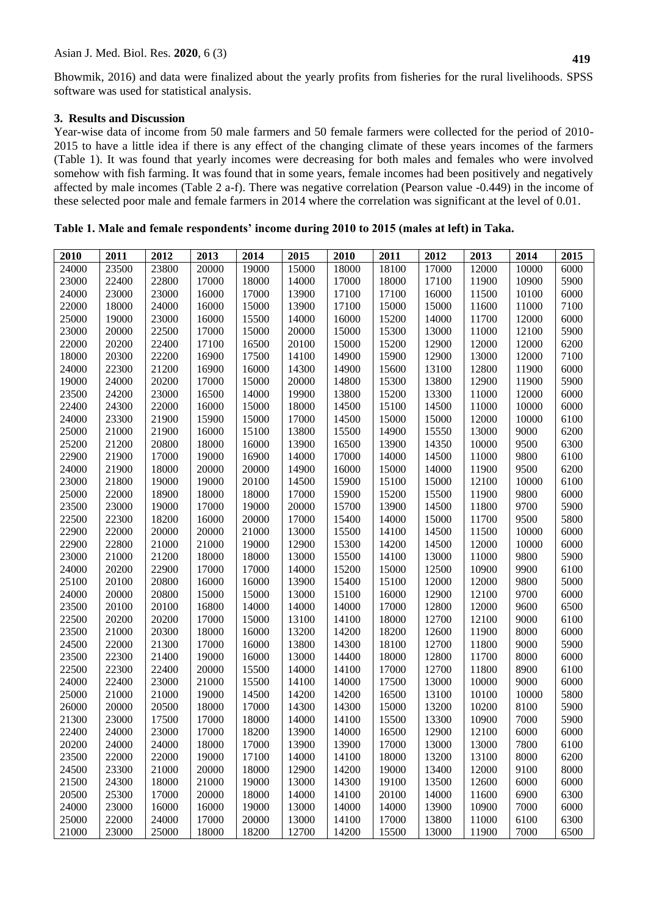# **3. Results and Discussion**

Year-wise data of income from 50 male farmers and 50 female farmers were collected for the period of 2010- 2015 to have a little idea if there is any effect of the changing climate of these years incomes of the farmers (Table 1). It was found that yearly incomes were decreasing for both males and females who were involved somehow with fish farming. It was found that in some years, female incomes had been positively and negatively affected by male incomes (Table 2 a-f). There was negative correlation (Pearson value -0.449) in the income of these selected poor male and female farmers in 2014 where the correlation was significant at the level of 0.01.

| 2010  | 2011  | 2012  | 2013  | 2014  | 2015  | 2010  | 2011  | 2012  | 2013  | 2014  | 2015 |
|-------|-------|-------|-------|-------|-------|-------|-------|-------|-------|-------|------|
| 24000 | 23500 | 23800 | 20000 | 19000 | 15000 | 18000 | 18100 | 17000 | 12000 | 10000 | 6000 |
| 23000 | 22400 | 22800 |       |       | 14000 | 17000 |       | 17100 |       |       | 5900 |
|       |       |       | 17000 | 18000 |       |       | 18000 |       | 11900 | 10900 |      |
| 24000 | 23000 | 23000 | 16000 | 17000 | 13900 | 17100 | 17100 | 16000 | 11500 | 10100 | 6000 |
| 22000 | 18000 | 24000 | 16000 | 15000 | 13900 | 17100 | 15000 | 15000 | 11600 | 11000 | 7100 |
| 25000 | 19000 | 23000 | 16000 | 15500 | 14000 | 16000 | 15200 | 14000 | 11700 | 12000 | 6000 |
| 23000 | 20000 | 22500 | 17000 | 15000 | 20000 | 15000 | 15300 | 13000 | 11000 | 12100 | 5900 |
| 22000 | 20200 | 22400 | 17100 | 16500 | 20100 | 15000 | 15200 | 12900 | 12000 | 12000 | 6200 |
| 18000 | 20300 | 22200 | 16900 | 17500 | 14100 | 14900 | 15900 | 12900 | 13000 | 12000 | 7100 |
| 24000 | 22300 | 21200 | 16900 | 16000 | 14300 | 14900 | 15600 | 13100 | 12800 | 11900 | 6000 |
| 19000 | 24000 | 20200 | 17000 | 15000 | 20000 | 14800 | 15300 | 13800 | 12900 | 11900 | 5900 |
| 23500 | 24200 | 23000 | 16500 | 14000 | 19900 | 13800 | 15200 | 13300 | 11000 | 12000 | 6000 |
| 22400 | 24300 | 22000 | 16000 | 15000 | 18000 | 14500 | 15100 | 14500 | 11000 | 10000 | 6000 |
| 24000 | 23300 | 21900 | 15900 | 15000 | 17000 | 14500 | 15000 | 15000 | 12000 | 10000 | 6100 |
| 25000 | 21000 | 21900 | 16000 | 15100 | 13800 | 15500 | 14900 | 15550 | 13000 | 9000  | 6200 |
| 25200 | 21200 | 20800 | 18000 | 16000 | 13900 | 16500 | 13900 | 14350 | 10000 | 9500  | 6300 |
| 22900 | 21900 | 17000 | 19000 | 16900 | 14000 | 17000 | 14000 | 14500 | 11000 | 9800  | 6100 |
| 24000 | 21900 | 18000 | 20000 | 20000 | 14900 | 16000 | 15000 | 14000 | 11900 | 9500  | 6200 |
| 23000 | 21800 | 19000 | 19000 | 20100 | 14500 | 15900 | 15100 | 15000 | 12100 | 10000 | 6100 |
| 25000 | 22000 | 18900 | 18000 | 18000 | 17000 | 15900 | 15200 | 15500 | 11900 | 9800  | 6000 |
| 23500 | 23000 | 19000 | 17000 | 19000 | 20000 | 15700 | 13900 | 14500 | 11800 | 9700  | 5900 |
| 22500 | 22300 | 18200 | 16000 | 20000 | 17000 | 15400 | 14000 | 15000 | 11700 | 9500  | 5800 |
| 22900 | 22000 | 20000 | 20000 | 21000 | 13000 | 15500 | 14100 | 14500 | 11500 | 10000 | 6000 |
| 22900 | 22800 | 21000 | 21000 | 19000 | 12900 | 15300 | 14200 | 14500 | 12000 | 10000 | 6000 |
| 23000 | 21000 | 21200 | 18000 | 18000 | 13000 | 15500 | 14100 | 13000 | 11000 | 9800  | 5900 |
| 24000 | 20200 | 22900 | 17000 | 17000 | 14000 | 15200 | 15000 | 12500 | 10900 | 9900  | 6100 |
| 25100 | 20100 | 20800 | 16000 | 16000 | 13900 | 15400 | 15100 | 12000 | 12000 | 9800  | 5000 |
| 24000 | 20000 | 20800 | 15000 | 15000 | 13000 | 15100 | 16000 | 12900 | 12100 | 9700  | 6000 |
| 23500 | 20100 | 20100 | 16800 | 14000 | 14000 | 14000 | 17000 | 12800 | 12000 | 9600  | 6500 |
| 22500 | 20200 | 20200 | 17000 | 15000 | 13100 | 14100 | 18000 | 12700 | 12100 | 9000  | 6100 |
| 23500 | 21000 | 20300 | 18000 | 16000 | 13200 | 14200 | 18200 | 12600 | 11900 | 8000  | 6000 |
| 24500 | 22000 | 21300 | 17000 | 16000 | 13800 | 14300 | 18100 | 12700 | 11800 | 9000  | 5900 |
| 23500 | 22300 | 21400 | 19000 | 16000 | 13000 | 14400 | 18000 | 12800 | 11700 | 8000  | 6000 |
| 22500 | 22300 | 22400 | 20000 | 15500 | 14000 | 14100 | 17000 | 12700 | 11800 | 8900  | 6100 |
| 24000 | 22400 | 23000 | 21000 | 15500 | 14100 | 14000 | 17500 | 13000 | 10000 | 9000  | 6000 |
| 25000 | 21000 | 21000 | 19000 | 14500 | 14200 | 14200 | 16500 | 13100 | 10100 | 10000 | 5800 |
| 26000 | 20000 | 20500 | 18000 | 17000 | 14300 | 14300 | 15000 | 13200 | 10200 | 8100  | 5900 |
| 21300 | 23000 | 17500 | 17000 | 18000 | 14000 | 14100 | 15500 | 13300 | 10900 | 7000  | 5900 |
| 22400 | 24000 | 23000 | 17000 | 18200 | 13900 | 14000 | 16500 | 12900 | 12100 | 6000  | 6000 |
| 20200 | 24000 | 24000 | 18000 | 17000 | 13900 | 13900 | 17000 | 13000 | 13000 | 7800  | 6100 |
| 23500 | 22000 | 22000 | 19000 | 17100 | 14000 | 14100 | 18000 | 13200 | 13100 | 8000  | 6200 |
| 24500 | 23300 | 21000 | 20000 | 18000 | 12900 | 14200 | 19000 | 13400 | 12000 | 9100  | 8000 |
| 21500 | 24300 | 18000 | 21000 | 19000 | 13000 | 14300 | 19100 | 13500 | 12600 | 6000  | 6000 |
| 20500 | 25300 | 17000 | 20000 | 18000 | 14000 | 14100 | 20100 | 14000 | 11600 | 6900  | 6300 |
| 24000 | 23000 | 16000 | 16000 | 19000 | 13000 | 14000 | 14000 | 13900 | 10900 | 7000  | 6000 |
| 25000 | 22000 | 24000 | 17000 | 20000 | 13000 | 14100 | 17000 | 13800 | 11000 | 6100  | 6300 |
| 21000 | 23000 | 25000 | 18000 | 18200 | 12700 | 14200 | 15500 | 13000 | 11900 | 7000  | 6500 |

# **Table 1. Male and female respondents' income during 2010 to 2015 (males at left) in Taka.**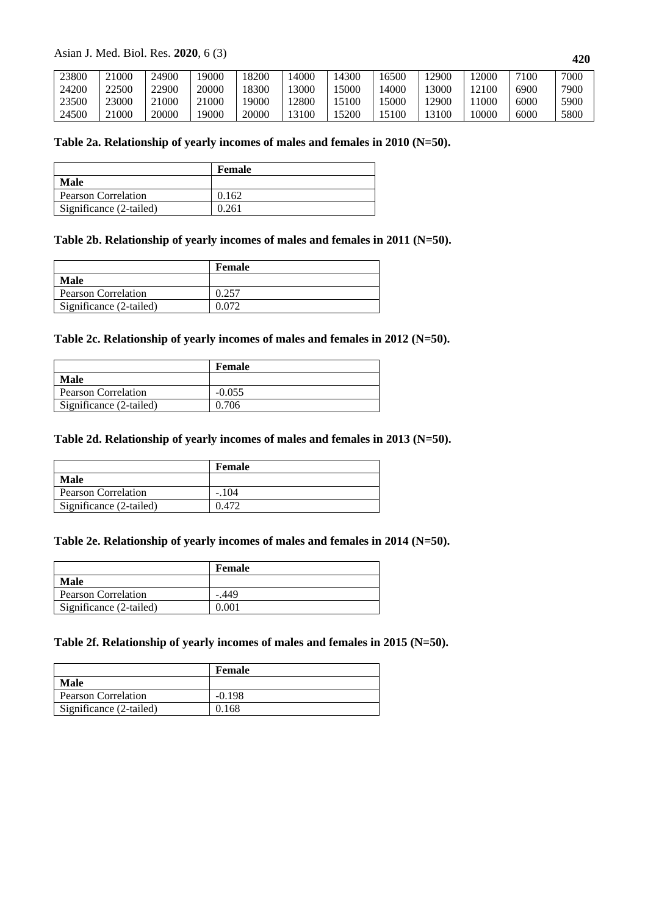Asian J. Med. Biol. Res. **2020**, 6 (3)

| 23800 | 1000  | 24900 | 19000 | 8200  | 4000  | 14300 | 16500 | .2900       | .2000 | 7100 | 7000 |
|-------|-------|-------|-------|-------|-------|-------|-------|-------------|-------|------|------|
| 24200 | 22500 | 22900 | 20000 | 8300  | 3000  | 5000  | 4000  | 3000        | 12100 | 6900 | 7900 |
| 23500 | 23000 | 21000 | 21000 | 19000 | .2800 | 5100  | 5000  | <b>2900</b> | 1000  | 6000 | 5900 |
| 24500 | :1000 | 20000 | 19000 | 20000 | 13100 | 5200  | 5100  | 13100       | 10000 | 6000 | 5800 |

# **Table 2a. Relationship of yearly incomes of males and females in 2010 (N=50).**

|                            | Female |
|----------------------------|--------|
| Male                       |        |
| <b>Pearson Correlation</b> | 0.162  |
| Significance (2-tailed)    | 0.261  |

# **Table 2b. Relationship of yearly incomes of males and females in 2011 (N=50).**

|                            | Female |
|----------------------------|--------|
| Male                       |        |
| <b>Pearson Correlation</b> |        |
| Significance (2-tailed)    |        |

# **Table 2c. Relationship of yearly incomes of males and females in 2012 (N=50).**

|                            | Female   |
|----------------------------|----------|
| <b>Male</b>                |          |
| <b>Pearson Correlation</b> | $-0.055$ |
| Significance (2-tailed)    | 0.706    |

#### **Table 2d. Relationship of yearly incomes of males and females in 2013 (N=50).**

|                            | Female  |
|----------------------------|---------|
| Male                       |         |
| <b>Pearson Correlation</b> | $-.104$ |
| Significance (2-tailed)    |         |

#### **Table 2e. Relationship of yearly incomes of males and females in 2014 (N=50).**

|                            | Female  |
|----------------------------|---------|
| Male                       |         |
| <b>Pearson Correlation</b> | $-.449$ |
| Significance (2-tailed)    | 0.001   |

# **Table 2f. Relationship of yearly incomes of males and females in 2015 (N=50).**

|                            | Female   |
|----------------------------|----------|
| Male                       |          |
| <b>Pearson Correlation</b> | $-0.198$ |
| Significance (2-tailed)    | 0.168    |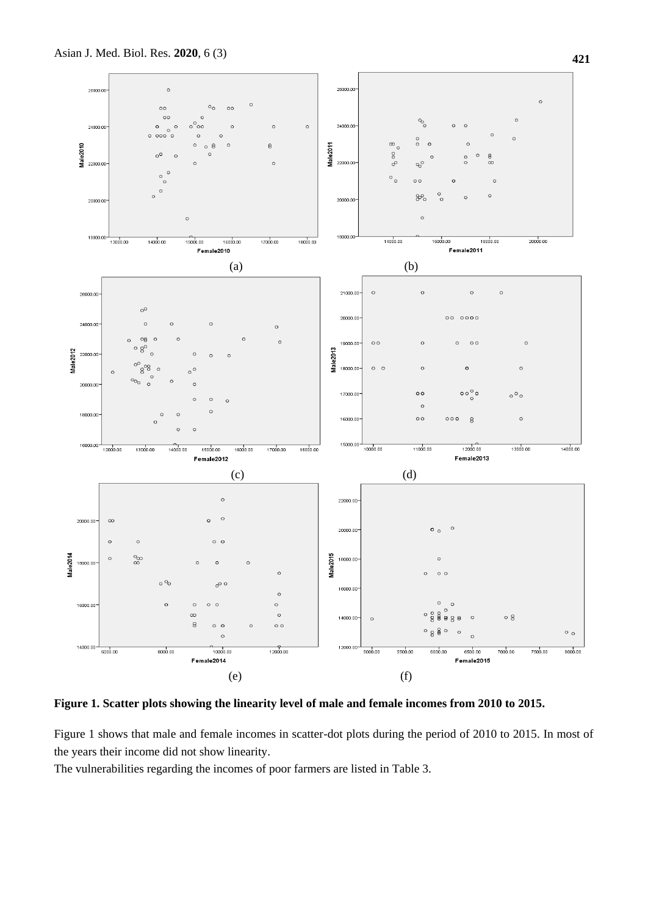

**Figure 1. Scatter plots showing the linearity level of male and female incomes from 2010 to 2015.**

Figure 1 shows that male and female incomes in scatter-dot plots during the period of 2010 to 2015. In most of the years their income did not show linearity.

The vulnerabilities regarding the incomes of poor farmers are listed in Table 3.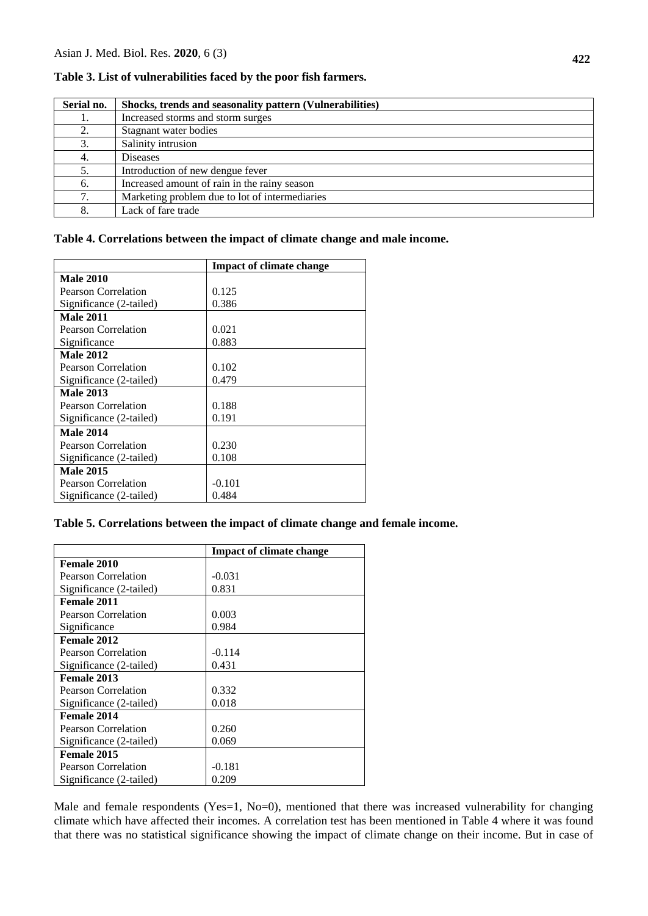| Serial no. | Shocks, trends and seasonality pattern (Vulnerabilities) |
|------------|----------------------------------------------------------|
|            | Increased storms and storm surges                        |
|            | Stagnant water bodies                                    |
|            | Salinity intrusion                                       |
| 4.         | <b>Diseases</b>                                          |
|            | Introduction of new dengue fever                         |
| 6.         | Increased amount of rain in the rainy season             |
|            | Marketing problem due to lot of intermediaries           |
| 8.         | Lack of fare trade                                       |

**Table 3. List of vulnerabilities faced by the poor fish farmers.**

#### **Table 4. Correlations between the impact of climate change and male income.**

|                            | <b>Impact of climate change</b> |
|----------------------------|---------------------------------|
| <b>Male 2010</b>           |                                 |
| Pearson Correlation        | 0.125                           |
| Significance (2-tailed)    | 0.386                           |
| <b>Male 2011</b>           |                                 |
| Pearson Correlation        | 0.021                           |
| Significance               | 0.883                           |
| <b>Male 2012</b>           |                                 |
| Pearson Correlation        | 0.102                           |
| Significance (2-tailed)    | 0.479                           |
| <b>Male 2013</b>           |                                 |
| <b>Pearson Correlation</b> | 0.188                           |
| Significance (2-tailed)    | 0.191                           |
| <b>Male 2014</b>           |                                 |
| Pearson Correlation        | 0.230                           |
| Significance (2-tailed)    | 0.108                           |
| <b>Male 2015</b>           |                                 |
| Pearson Correlation        | $-0.101$                        |
| Significance (2-tailed)    | 0.484                           |

# **Table 5. Correlations between the impact of climate change and female income.**

|                         | <b>Impact of climate change</b> |
|-------------------------|---------------------------------|
| Female 2010             |                                 |
| Pearson Correlation     | $-0.031$                        |
| Significance (2-tailed) | 0.831                           |
| Female 2011             |                                 |
| Pearson Correlation     | 0.003                           |
| Significance            | 0.984                           |
| Female 2012             |                                 |
| Pearson Correlation     | $-0.114$                        |
| Significance (2-tailed) | 0.431                           |
| Female 2013             |                                 |
| Pearson Correlation     | 0.332                           |
| Significance (2-tailed) | 0.018                           |
| Female 2014             |                                 |
| Pearson Correlation     | 0.260                           |
| Significance (2-tailed) | 0.069                           |
| Female 2015             |                                 |
| Pearson Correlation     | $-0.181$                        |
| Significance (2-tailed) | 0.209                           |

Male and female respondents (Yes=1, No=0), mentioned that there was increased vulnerability for changing climate which have affected their incomes. A correlation test has been mentioned in Table 4 where it was found that there was no statistical significance showing the impact of climate change on their income. But in case of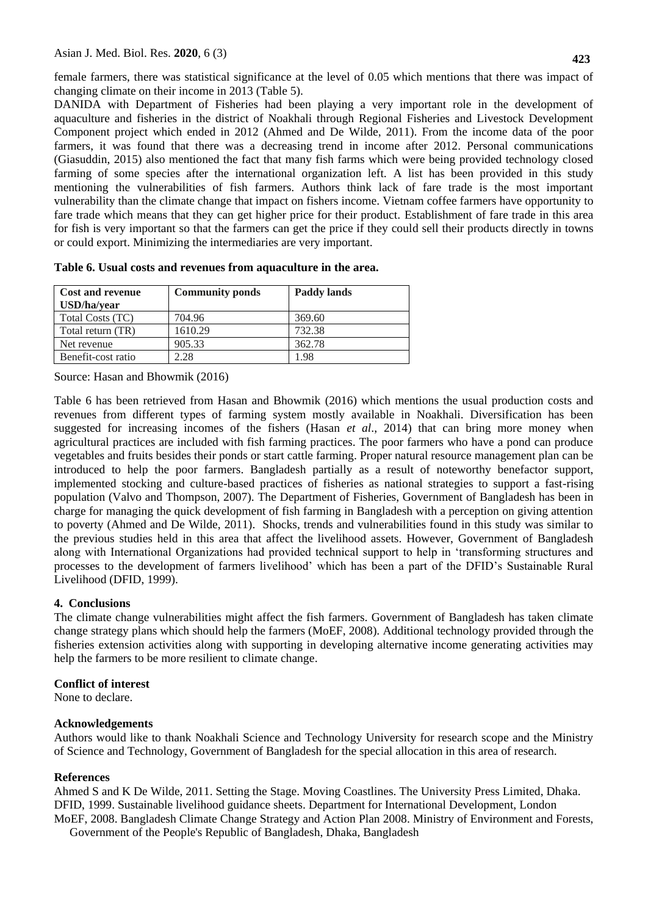female farmers, there was statistical significance at the level of 0.05 which mentions that there was impact of changing climate on their income in 2013 (Table 5).

DANIDA with Department of Fisheries had been playing a very important role in the development of aquaculture and fisheries in the district of Noakhali through Regional Fisheries and Livestock Development Component project which ended in 2012 (Ahmed and De Wilde, 2011). From the income data of the poor farmers, it was found that there was a decreasing trend in income after 2012. Personal communications (Giasuddin, 2015) also mentioned the fact that many fish farms which were being provided technology closed farming of some species after the international organization left. A list has been provided in this study mentioning the vulnerabilities of fish farmers. Authors think lack of fare trade is the most important vulnerability than the climate change that impact on fishers income. Vietnam coffee farmers have opportunity to fare trade which means that they can get higher price for their product. Establishment of fare trade in this area for fish is very important so that the farmers can get the price if they could sell their products directly in towns or could export. Minimizing the intermediaries are very important.

| <b>Cost and revenue</b><br>USD/ha/year | <b>Community ponds</b> | <b>Paddy lands</b> |
|----------------------------------------|------------------------|--------------------|
| Total Costs (TC)                       | 704.96                 | 369.60             |
| Total return (TR)                      | 1610.29                | 732.38             |
| Net revenue                            | 905.33                 | 362.78             |
| Benefit-cost ratio                     | 2.28                   | 1.98               |

**Table 6. Usual costs and revenues from aquaculture in the area.**

Source: Hasan and Bhowmik (2016)

Table 6 has been retrieved from Hasan and Bhowmik (2016) which mentions the usual production costs and revenues from different types of farming system mostly available in Noakhali. Diversification has been suggested for increasing incomes of the fishers (Hasan *et al*., 2014) that can bring more money when agricultural practices are included with fish farming practices. The poor farmers who have a pond can produce vegetables and fruits besides their ponds or start cattle farming. Proper natural resource management plan can be introduced to help the poor farmers. Bangladesh partially as a result of noteworthy benefactor support, implemented stocking and culture-based practices of fisheries as national strategies to support a fast-rising population (Valvo and Thompson, 2007). The Department of Fisheries, Government of Bangladesh has been in charge for managing the quick development of fish farming in Bangladesh with a perception on giving attention to poverty (Ahmed and De Wilde, 2011). Shocks, trends and vulnerabilities found in this study was similar to the previous studies held in this area that affect the livelihood assets. However, Government of Bangladesh along with International Organizations had provided technical support to help in 'transforming structures and processes to the development of farmers livelihood' which has been a part of the DFID's Sustainable Rural Livelihood (DFID, 1999).

# **4. Conclusions**

The climate change vulnerabilities might affect the fish farmers. Government of Bangladesh has taken climate change strategy plans which should help the farmers (MoEF, 2008). Additional technology provided through the fisheries extension activities along with supporting in developing alternative income generating activities may help the farmers to be more resilient to climate change.

# **Conflict of interest**

None to declare.

# **Acknowledgements**

Authors would like to thank Noakhali Science and Technology University for research scope and the Ministry of Science and Technology, Government of Bangladesh for the special allocation in this area of research.

# **References**

Ahmed S and K De Wilde, 2011. Setting the Stage. Moving Coastlines. The University Press Limited, Dhaka. DFID, 1999. Sustainable livelihood guidance sheets. Department for International Development, London MoEF, 2008. Bangladesh Climate Change Strategy and Action Plan 2008. Ministry of Environment and Forests,

Government of the People's Republic of Bangladesh, Dhaka, Bangladesh